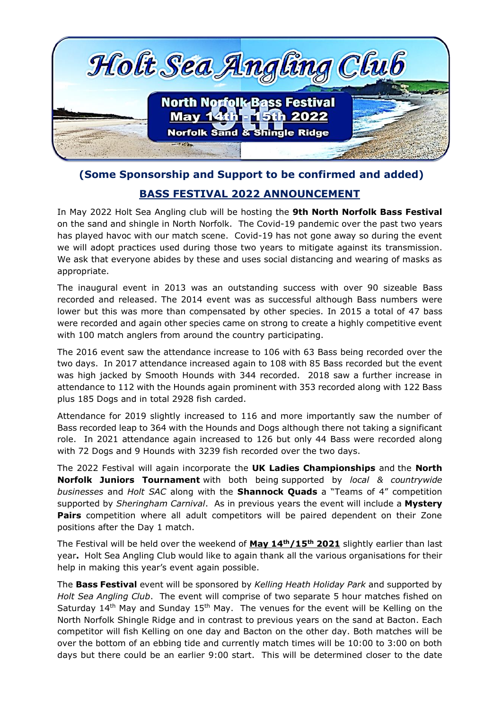

## **(Some Sponsorship and Support to be confirmed and added) BASS FESTIVAL 2022 ANNOUNCEMENT**

In May 2022 Holt Sea Angling club will be hosting the **9th North Norfolk Bass Festival** on the sand and shingle in North Norfolk. The Covid-19 pandemic over the past two years has played havoc with our match scene. Covid-19 has not gone away so during the event we will adopt practices used during those two years to mitigate against its transmission. We ask that everyone abides by these and uses social distancing and wearing of masks as appropriate.

The inaugural event in 2013 was an outstanding success with over 90 sizeable Bass recorded and released. The 2014 event was as successful although Bass numbers were lower but this was more than compensated by other species. In 2015 a total of 47 bass were recorded and again other species came on strong to create a highly competitive event with 100 match anglers from around the country participating.

The 2016 event saw the attendance increase to 106 with 63 Bass being recorded over the two days. In 2017 attendance increased again to 108 with 85 Bass recorded but the event was high jacked by Smooth Hounds with 344 recorded. 2018 saw a further increase in attendance to 112 with the Hounds again prominent with 353 recorded along with 122 Bass plus 185 Dogs and in total 2928 fish carded.

Attendance for 2019 slightly increased to 116 and more importantly saw the number of Bass recorded leap to 364 with the Hounds and Dogs although there not taking a significant role. In 2021 attendance again increased to 126 but only 44 Bass were recorded along with 72 Dogs and 9 Hounds with 3239 fish recorded over the two days.

The 2022 Festival will again incorporate the **UK Ladies Championships** and the **North Norfolk Juniors Tournament** with both being supported by *local & countrywide businesses* and *Holt SAC* along with the **Shannock Quads** a "Teams of 4" competition supported by *Sheringham Carnival*. As in previous years the event will include a **Mystery Pairs** competition where all adult competitors will be paired dependent on their Zone positions after the Day 1 match.

The Festival will be held over the weekend of **May 14th/15th 2021** slightly earlier than last year**.** Holt Sea Angling Club would like to again thank all the various organisations for their help in making this year's event again possible.

The **Bass Festival** event will be sponsored by *Kelling Heath Holiday Park* and supported by *Holt Sea Angling Club*. The event will comprise of two separate 5 hour matches fished on Saturday  $14<sup>th</sup>$  May and Sunday  $15<sup>th</sup>$  May. The venues for the event will be Kelling on the North Norfolk Shingle Ridge and in contrast to previous years on the sand at Bacton. Each competitor will fish Kelling on one day and Bacton on the other day. Both matches will be over the bottom of an ebbing tide and currently match times will be 10:00 to 3:00 on both days but there could be an earlier 9:00 start. This will be determined closer to the date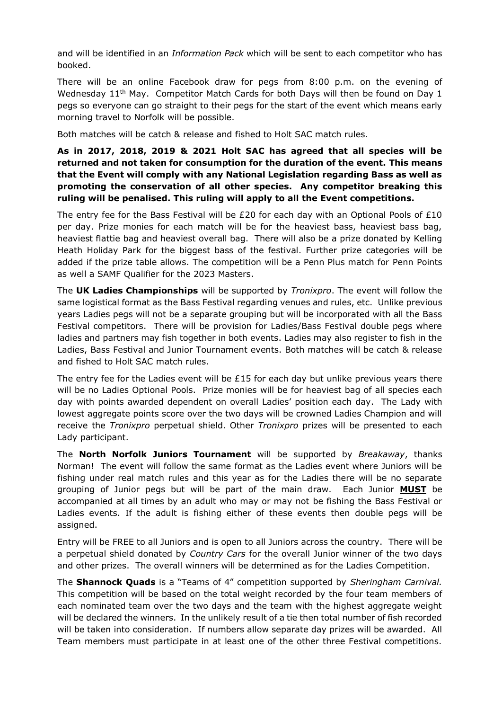and will be identified in an *Information Pack* which will be sent to each competitor who has booked.

There will be an online Facebook draw for pegs from 8:00 p.m. on the evening of Wednesday 11<sup>th</sup> May. Competitor Match Cards for both Days will then be found on Day 1 pegs so everyone can go straight to their pegs for the start of the event which means early morning travel to Norfolk will be possible.

Both matches will be catch & release and fished to Holt SAC match rules.

**As in 2017, 2018, 2019 & 2021 Holt SAC has agreed that all species will be returned and not taken for consumption for the duration of the event. This means that the Event will comply with any National Legislation regarding Bass as well as promoting the conservation of all other species. Any competitor breaking this ruling will be penalised. This ruling will apply to all the Event competitions.** 

The entry fee for the Bass Festival will be £20 for each day with an Optional Pools of £10 per day. Prize monies for each match will be for the heaviest bass, heaviest bass bag, heaviest flattie bag and heaviest overall bag. There will also be a prize donated by Kelling Heath Holiday Park for the biggest bass of the festival. Further prize categories will be added if the prize table allows. The competition will be a Penn Plus match for Penn Points as well a SAMF Qualifier for the 2023 Masters.

The **UK Ladies Championships** will be supported by *Tronixpro*. The event will follow the same logistical format as the Bass Festival regarding venues and rules, etc. Unlike previous years Ladies pegs will not be a separate grouping but will be incorporated with all the Bass Festival competitors. There will be provision for Ladies/Bass Festival double pegs where ladies and partners may fish together in both events. Ladies may also register to fish in the Ladies, Bass Festival and Junior Tournament events. Both matches will be catch & release and fished to Holt SAC match rules.

The entry fee for the Ladies event will be  $£15$  for each day but unlike previous years there will be no Ladies Optional Pools. Prize monies will be for heaviest bag of all species each day with points awarded dependent on overall Ladies' position each day. The Lady with lowest aggregate points score over the two days will be crowned Ladies Champion and will receive the *Tronixpro* perpetual shield. Other *Tronixpro* prizes will be presented to each Lady participant.

The **North Norfolk Juniors Tournament** will be supported by *Breakaway*, thanks Norman! The event will follow the same format as the Ladies event where Juniors will be fishing under real match rules and this year as for the Ladies there will be no separate grouping of Junior pegs but will be part of the main draw. Each Junior **MUST** be accompanied at all times by an adult who may or may not be fishing the Bass Festival or Ladies events. If the adult is fishing either of these events then double pegs will be assigned.

Entry will be FREE to all Juniors and is open to all Juniors across the country. There will be a perpetual shield donated by *Country Cars* for the overall Junior winner of the two days and other prizes. The overall winners will be determined as for the Ladies Competition.

The **Shannock Quads** is a "Teams of 4" competition supported by *Sheringham Carnival.*  This competition will be based on the total weight recorded by the four team members of each nominated team over the two days and the team with the highest aggregate weight will be declared the winners. In the unlikely result of a tie then total number of fish recorded will be taken into consideration. If numbers allow separate day prizes will be awarded. All Team members must participate in at least one of the other three Festival competitions.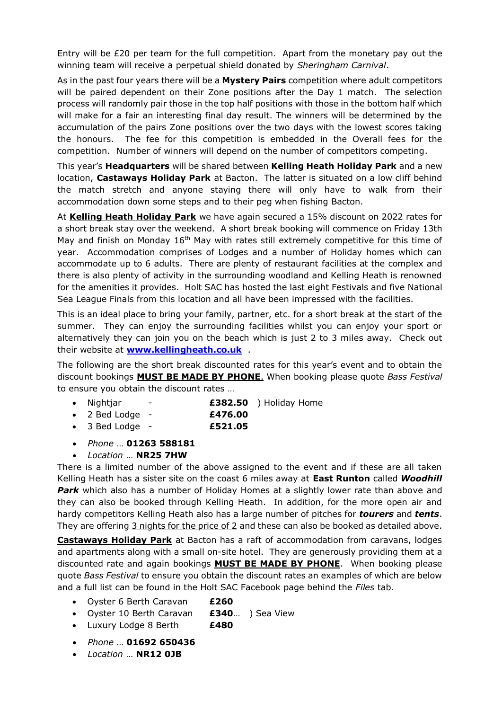Entry will be £20 per team for the full competition. Apart from the monetary pay out the winning team will receive a perpetual shield donated by *Sheringham Carnival*.

As in the past four years there will be a **Mystery Pairs** competition where adult competitors will be paired dependent on their Zone positions after the Day 1 match. The selection process will randomly pair those in the top half positions with those in the bottom half which will make for a fair an interesting final day result. The winners will be determined by the accumulation of the pairs Zone positions over the two days with the lowest scores taking the honours. The fee for this competition is embedded in the Overall fees for the competition. Number of winners will depend on the number of competitors competing.

This year's **Headquarters** will be shared between **Kelling Heath Holiday Park** and a new location, **Castaways Holiday Park** at Bacton. The latter is situated on a low cliff behind the match stretch and anyone staying there will only have to walk from their accommodation down some steps and to their peg when fishing Bacton.

At **Kelling Heath Holiday Park** we have again secured a 15% discount on 2022 rates for a short break stay over the weekend. A short break booking will commence on Friday 13th May and finish on Monday 16<sup>th</sup> May with rates still extremely competitive for this time of year. Accommodation comprises of Lodges and a number of Holiday homes which can accommodate up to 6 adults. There are plenty of restaurant facilities at the complex and there is also plenty of activity in the surrounding woodland and Kelling Heath is renowned for the amenities it provides. Holt SAC has hosted the last eight Festivals and five National Sea League Finals from this location and all have been impressed with the facilities.

This is an ideal place to bring your family, partner, etc. for a short break at the start of the summer. They can enjoy the surrounding facilities whilst you can enjoy your sport or alternatively they can join you on the beach which is just 2 to 3 miles away. Check out their website at **[www.kellingheath.co.uk](http://www.kellingheath.co.uk/)** .

The following are the short break discounted rates for this year's event and to obtain the discount bookings **MUST BE MADE BY PHONE**. When booking please quote *Bass Festival* to ensure you obtain the discount rates …

- Nightjar **£382.50** ) Holiday Home
- 2 Bed Lodge **£476.00**
- 3 Bed Lodge **£521.05**
- *Phone* … **01263 588181**
- *Location* … **NR25 7HW**

There is a limited number of the above assigned to the event and if these are all taken Kelling Heath has a sister site on the coast 6 miles away at **East Runton** called *Woodhill*  **Park** which also has a number of Holiday Homes at a slightly lower rate than above and they can also be booked through Kelling Heath. In addition, for the more open air and hardy competitors Kelling Heath also has a large number of pitches for *tourers* and *tents*. They are offering  $3$  nights for the price of  $2$  and these can also be booked as detailed above.

**Castaways Holiday Park** at Bacton has a raft of accommodation from caravans, lodges and apartments along with a small on-site hotel. They are generously providing them at a discounted rate and again bookings **MUST BE MADE BY PHONE**. When booking please quote *Bass Festival* to ensure you obtain the discount rates an examples of which are below and a full list can be found in the Holt SAC Facebook page behind the *Files* tab.

- Oyster 6 Berth Caravan **£260**
- Oyster 10 Berth Caravan **£340**… ) Sea View
- Luxury Lodge 8 Berth **£480**
- *Phone* … **01692 650436**
- *Location* … **NR12 0JB**